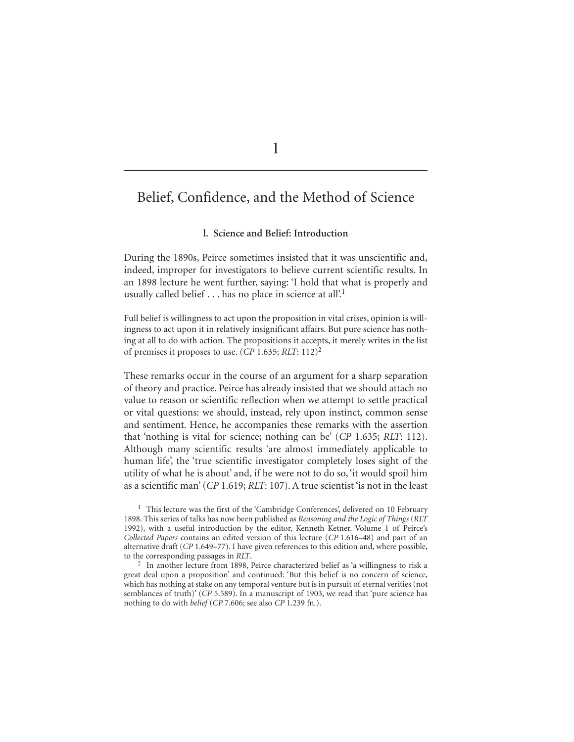# Belief, Confidence, and the Method of Science

### **l. Science and Belief: Introduction**

During the 1890s, Peirce sometimes insisted that it was unscientific and, indeed, improper for investigators to believe current scientific results. In an 1898 lecture he went further, saying: 'I hold that what is properly and usually called belief  $\ldots$  has no place in science at all.<sup>1</sup>

Full belief is willingness to act upon the proposition in vital crises, opinion is willingness to act upon it in relatively insignificant affairs. But pure science has nothing at all to do with action. The propositions it accepts, it merely writes in the list of premises it proposes to use. (*CP* 1.635; *RLT*: 112)2

These remarks occur in the course of an argument for a sharp separation of theory and practice. Peirce has already insisted that we should attach no value to reason or scientific reflection when we attempt to settle practical or vital questions: we should, instead, rely upon instinct, common sense and sentiment. Hence, he accompanies these remarks with the assertion that 'nothing is vital for science; nothing can be' (*CP* 1.635; *RLT*: 112). Although many scientific results 'are almost immediately applicable to human life', the 'true scientific investigator completely loses sight of the utility of what he is about' and, if he were not to do so, 'it would spoil him as a scientific man' (*CP* 1.619; *RLT*: 107). A true scientist 'is not in the least

<sup>&</sup>lt;sup>1</sup> This lecture was the first of the 'Cambridge Conferences', delivered on 10 February 1898. This series of talks has now been published as *Reasoning and the Logic of Things* (*RLT* 1992), with a useful introduction by the editor, Kenneth Ketner. Volume 1 of Peirce's *Collected Papers* contains an edited version of this lecture (*CP* 1.616–48) and part of an alternative draft (*CP* 1.649–77). I have given references to this edition and, where possible, to the corresponding passages in *RLT*.

<sup>&</sup>lt;sup>2</sup> In another lecture from 1898, Peirce characterized belief as 'a willingness to risk a great deal upon a proposition' and continued: 'But this belief is no concern of science, which has nothing at stake on any temporal venture but is in pursuit of eternal verities (not semblances of truth)' (*CP* 5.589). In a manuscript of 1903, we read that 'pure science has nothing to do with *belief* (*CP* 7.606; see also *CP* 1.239 fn.).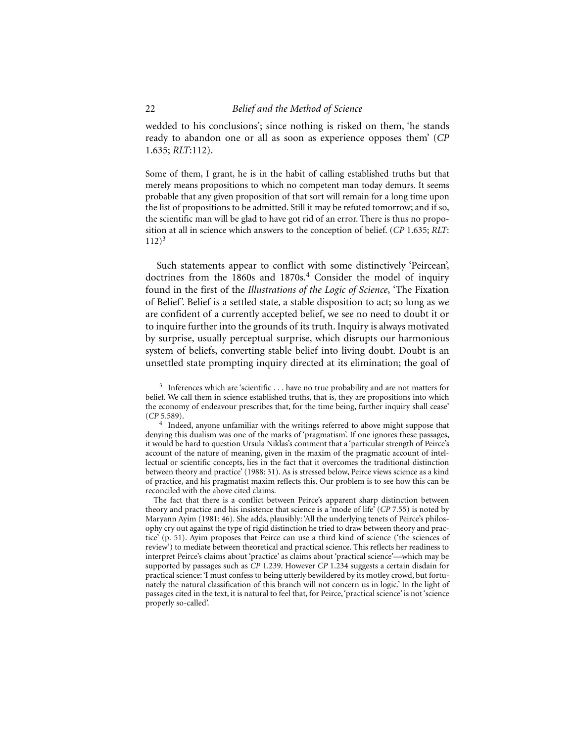wedded to his conclusions'; since nothing is risked on them, 'he stands ready to abandon one or all as soon as experience opposes them' (*CP* 1.635; *RLT*:112).

Some of them, I grant, he is in the habit of calling established truths but that merely means propositions to which no competent man today demurs. It seems probable that any given proposition of that sort will remain for a long time upon the list of propositions to be admitted. Still it may be refuted tomorrow; and if so, the scientific man will be glad to have got rid of an error. There is thus no proposition at all in science which answers to the conception of belief. (*CP* 1.635; *RLT*:  $112)^3$ 

Such statements appear to conflict with some distinctively 'Peircean', doctrines from the 1860s and 1870s.<sup>4</sup> Consider the model of inquiry found in the first of the *Illustrations of the Logic of Science*, 'The Fixation of Belief'. Belief is a settled state, a stable disposition to act; so long as we are confident of a currently accepted belief, we see no need to doubt it or to inquire further into the grounds of its truth. Inquiry is always motivated by surprise, usually perceptual surprise, which disrupts our harmonious system of beliefs, converting stable belief into living doubt. Doubt is an unsettled state prompting inquiry directed at its elimination; the goal of

 $3$  Inferences which are 'scientific ... have no true probability and are not matters for belief. We call them in science established truths, that is, they are propositions into which the economy of endeavour prescribes that, for the time being, further inquiry shall cease' (*CP* 5.589).

<sup>4</sup> Indeed, anyone unfamiliar with the writings referred to above might suppose that denying this dualism was one of the marks of 'pragmatism'. If one ignores these passages, it would be hard to question Ursula Niklas's comment that a 'particular strength of Peirce's account of the nature of meaning, given in the maxim of the pragmatic account of intellectual or scientific concepts, lies in the fact that it overcomes the traditional distinction between theory and practice' (1988: 31). As is stressed below, Peirce views science as a kind of practice, and his pragmatist maxim reflects this. Our problem is to see how this can be reconciled with the above cited claims.

The fact that there is a conflict between Peirce's apparent sharp distinction between theory and practice and his insistence that science is a 'mode of life' (*CP* 7.55) is noted by Maryann Ayim (1981: 46). She adds, plausibly: 'All the underlying tenets of Peirce's philosophy cry out against the type of rigid distinction he tried to draw between theory and practice' (p. 51). Ayim proposes that Peirce can use a third kind of science ('the sciences of review') to mediate between theoretical and practical science. This reflects her readiness to interpret Peirce's claims about 'practice' as claims about 'practical science'—which may be supported by passages such as *CP* 1.239. However *CP* 1.234 suggests a certain disdain for practical science: 'I must confess to being utterly bewildered by its motley crowd, but fortunately the natural classification of this branch will not concern us in logic.' In the light of passages cited in the text, it is natural to feel that, for Peirce, 'practical science' is not 'science properly so-called'.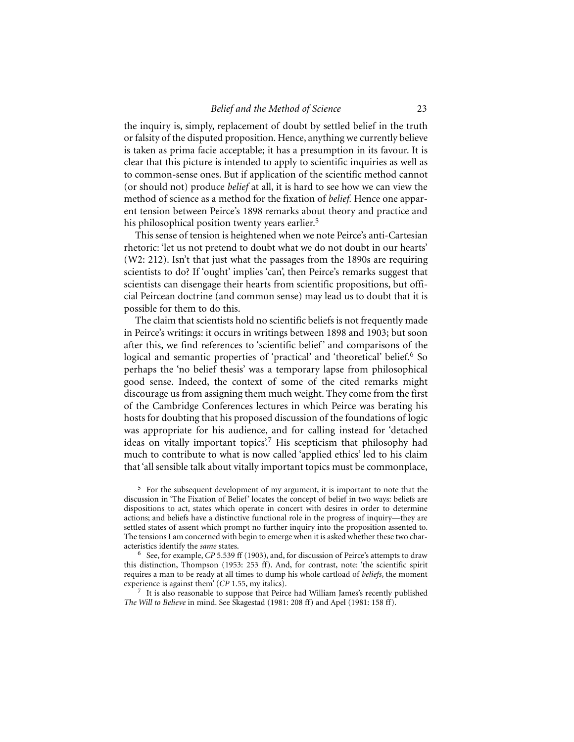the inquiry is, simply, replacement of doubt by settled belief in the truth or falsity of the disputed proposition. Hence, anything we currently believe is taken as prima facie acceptable; it has a presumption in its favour. It is clear that this picture is intended to apply to scientific inquiries as well as to common-sense ones. But if application of the scientific method cannot (or should not) produce *belief* at all, it is hard to see how we can view the method of science as a method for the fixation of *belief.* Hence one apparent tension between Peirce's 1898 remarks about theory and practice and his philosophical position twenty years earlier.<sup>5</sup>

This sense of tension is heightened when we note Peirce's anti-Cartesian rhetoric: 'let us not pretend to doubt what we do not doubt in our hearts' (W2: 212). Isn't that just what the passages from the 1890s are requiring scientists to do? If 'ought' implies 'can', then Peirce's remarks suggest that scientists can disengage their hearts from scientific propositions, but official Peircean doctrine (and common sense) may lead us to doubt that it is possible for them to do this.

The claim that scientists hold no scientific beliefs is not frequently made in Peirce's writings: it occurs in writings between 1898 and 1903; but soon after this, we find references to 'scientific belief' and comparisons of the logical and semantic properties of 'practical' and 'theoretical' belief.<sup>6</sup> So perhaps the 'no belief thesis' was a temporary lapse from philosophical good sense. Indeed, the context of some of the cited remarks might discourage us from assigning them much weight. They come from the first of the Cambridge Conferences lectures in which Peirce was berating his hosts for doubting that his proposed discussion of the foundations of logic was appropriate for his audience, and for calling instead for 'detached ideas on vitally important topics'.7 His scepticism that philosophy had much to contribute to what is now called 'applied ethics' led to his claim that 'all sensible talk about vitally important topics must be commonplace,

<sup>5</sup> For the subsequent development of my argument, it is important to note that the discussion in 'The Fixation of Belief' locates the concept of belief in two ways: beliefs are dispositions to act, states which operate in concert with desires in order to determine actions; and beliefs have a distinctive functional role in the progress of inquiry—they are settled states of assent which prompt no further inquiry into the proposition assented to. The tensions I am concerned with begin to emerge when it is asked whether these two characteristics identify the *same* states.

<sup>6</sup> See, for example, *CP* 5.539 ff (1903), and, for discussion of Peirce's attempts to draw this distinction, Thompson (1953: 253 ff). And, for contrast, note: 'the scientific spirit requires a man to be ready at all times to dump his whole cartload of *beliefs*, the moment

<sup>7</sup> It is also reasonable to suppose that Peirce had William James's recently published *The Will to Believe* in mind. See Skagestad (1981: 208 ff) and Apel (1981: 158 ff).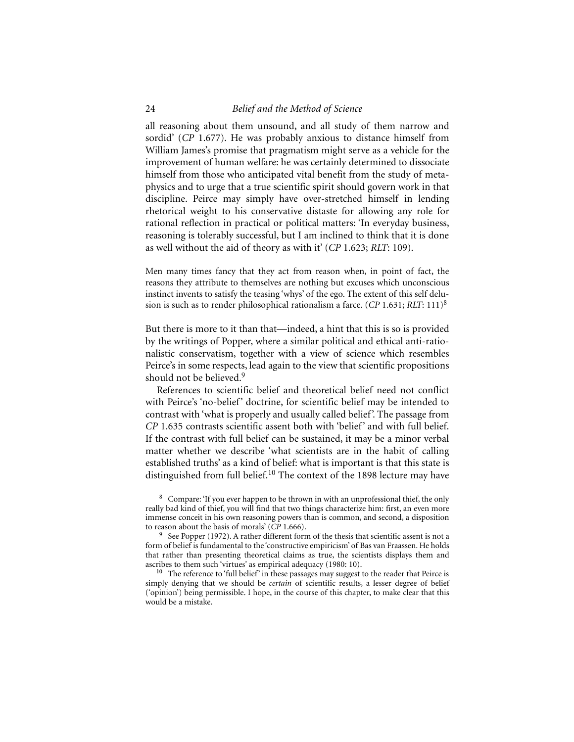all reasoning about them unsound, and all study of them narrow and sordid' (*CP* 1.677). He was probably anxious to distance himself from William James's promise that pragmatism might serve as a vehicle for the improvement of human welfare: he was certainly determined to dissociate himself from those who anticipated vital benefit from the study of metaphysics and to urge that a true scientific spirit should govern work in that discipline. Peirce may simply have over-stretched himself in lending rhetorical weight to his conservative distaste for allowing any role for rational reflection in practical or political matters: 'In everyday business, reasoning is tolerably successful, but I am inclined to think that it is done as well without the aid of theory as with it' (*CP* 1.623; *RLT*: 109).

Men many times fancy that they act from reason when, in point of fact, the reasons they attribute to themselves are nothing but excuses which unconscious instinct invents to satisfy the teasing 'whys' of the ego. The extent of this self delusion is such as to render philosophical rationalism a farce. (*CP* 1.631; *RLT*: 111)8

But there is more to it than that—indeed, a hint that this is so is provided by the writings of Popper, where a similar political and ethical anti-rationalistic conservatism, together with a view of science which resembles Peirce's in some respects, lead again to the view that scientific propositions should not be believed.<sup>9</sup>

References to scientific belief and theoretical belief need not conflict with Peirce's 'no-belief' doctrine, for scientific belief may be intended to contrast with 'what is properly and usually called belief'. The passage from *CP* 1.635 contrasts scientific assent both with 'belief' and with full belief. If the contrast with full belief can be sustained, it may be a minor verbal matter whether we describe 'what scientists are in the habit of calling established truths' as a kind of belief: what is important is that this state is distinguished from full belief.<sup>10</sup> The context of the 1898 lecture may have

<sup>8</sup> Compare: 'If you ever happen to be thrown in with an unprofessional thief, the only really bad kind of thief, you will find that two things characterize him: first, an even more immense conceit in his own reasoning powers than is common, and second, a disposition to reason about the basis of morals' ( $CP$  1.666).

<sup>9</sup> See Popper (1972). A rather different form of the thesis that scientific assent is not a form of belief is fundamental to the 'constructive empiricism' of Bas van Fraassen. He holds that rather than presenting theoretical claims as true, the scientists displays them and ascribes to them such 'virtues' as empirical adequacy (1980: 10).

 $10$  The reference to 'full belief' in these passages may suggest to the reader that Peirce is simply denying that we should be *certain* of scientific results, a lesser degree of belief ('opinion') being permissible. I hope, in the course of this chapter, to make clear that this would be a mistake.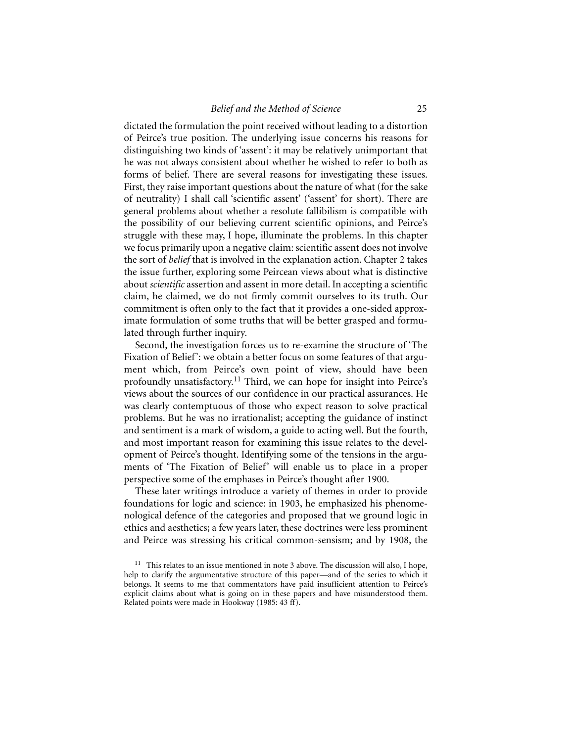dictated the formulation the point received without leading to a distortion of Peirce's true position. The underlying issue concerns his reasons for distinguishing two kinds of 'assent': it may be relatively unimportant that he was not always consistent about whether he wished to refer to both as forms of belief. There are several reasons for investigating these issues. First, they raise important questions about the nature of what (for the sake of neutrality) I shall call 'scientific assent' ('assent' for short). There are general problems about whether a resolute fallibilism is compatible with the possibility of our believing current scientific opinions, and Peirce's struggle with these may, I hope, illuminate the problems. In this chapter we focus primarily upon a negative claim: scientific assent does not involve the sort of *belief* that is involved in the explanation action. Chapter 2 takes the issue further, exploring some Peircean views about what is distinctive about *scientific* assertion and assent in more detail. In accepting a scientific claim, he claimed, we do not firmly commit ourselves to its truth. Our commitment is often only to the fact that it provides a one-sided approximate formulation of some truths that will be better grasped and formulated through further inquiry.

Second, the investigation forces us to re-examine the structure of 'The Fixation of Belief': we obtain a better focus on some features of that argument which, from Peirce's own point of view, should have been profoundly unsatisfactory.<sup>11</sup> Third, we can hope for insight into Peirce's views about the sources of our confidence in our practical assurances. He was clearly contemptuous of those who expect reason to solve practical problems. But he was no irrationalist; accepting the guidance of instinct and sentiment is a mark of wisdom, a guide to acting well. But the fourth, and most important reason for examining this issue relates to the development of Peirce's thought. Identifying some of the tensions in the arguments of 'The Fixation of Belief' will enable us to place in a proper perspective some of the emphases in Peirce's thought after 1900.

These later writings introduce a variety of themes in order to provide foundations for logic and science: in 1903, he emphasized his phenomenological defence of the categories and proposed that we ground logic in ethics and aesthetics; a few years later, these doctrines were less prominent and Peirce was stressing his critical common-sensism; and by 1908, the

<sup>&</sup>lt;sup>11</sup> This relates to an issue mentioned in note 3 above. The discussion will also, I hope, help to clarify the argumentative structure of this paper—and of the series to which it belongs. It seems to me that commentators have paid insufficient attention to Peirce's explicit claims about what is going on in these papers and have misunderstood them. Related points were made in Hookway (1985: 43 ff).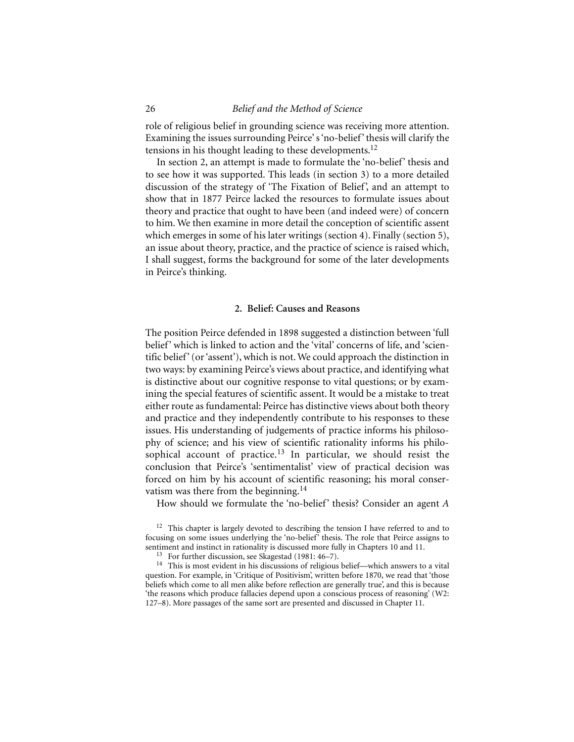role of religious belief in grounding science was receiving more attention. Examining the issues surrounding Peirce' s 'no-belief' thesis will clarify the tensions in his thought leading to these developments.<sup>12</sup>

In section 2, an attempt is made to formulate the 'no-belief' thesis and to see how it was supported. This leads (in section 3) to a more detailed discussion of the strategy of 'The Fixation of Belief', and an attempt to show that in 1877 Peirce lacked the resources to formulate issues about theory and practice that ought to have been (and indeed were) of concern to him. We then examine in more detail the conception of scientific assent which emerges in some of his later writings (section 4). Finally (section 5), an issue about theory, practice, and the practice of science is raised which, I shall suggest, forms the background for some of the later developments in Peirce's thinking.

#### **2. Belief: Causes and Reasons**

The position Peirce defended in 1898 suggested a distinction between 'full belief' which is linked to action and the 'vital' concerns of life, and 'scientific belief' (or 'assent'), which is not. We could approach the distinction in two ways: by examining Peirce's views about practice, and identifying what is distinctive about our cognitive response to vital questions; or by examining the special features of scientific assent. It would be a mistake to treat either route as fundamental: Peirce has distinctive views about both theory and practice and they independently contribute to his responses to these issues. His understanding of judgements of practice informs his philosophy of science; and his view of scientific rationality informs his philosophical account of practice.<sup>13</sup> In particular, we should resist the conclusion that Peirce's 'sentimentalist' view of practical decision was forced on him by his account of scientific reasoning; his moral conservatism was there from the beginning.<sup>14</sup>

How should we formulate the 'no-belief' thesis? Consider an agent *A*

<sup>&</sup>lt;sup>12</sup> This chapter is largely devoted to describing the tension I have referred to and to focusing on some issues underlying the 'no-belief<sup>5</sup> thesis. The role that Peirce assigns to sentiment and instinct in rationality is discussed more fully in Chapters 10 and 11.

<sup>&</sup>lt;sup>13</sup> For further discussion, see Skagestad (1981:  $46-7$ ).<br><sup>14</sup> This is most evident in his discussions of religious belief—which answers to a vital question. For example, in 'Critique of Positivism', written before 1870, we read that 'those beliefs which come to all men alike before reflection are generally true', and this is because 'the reasons which produce fallacies depend upon a conscious process of reasoning' (W2: 127–8). More passages of the same sort are presented and discussed in Chapter 11.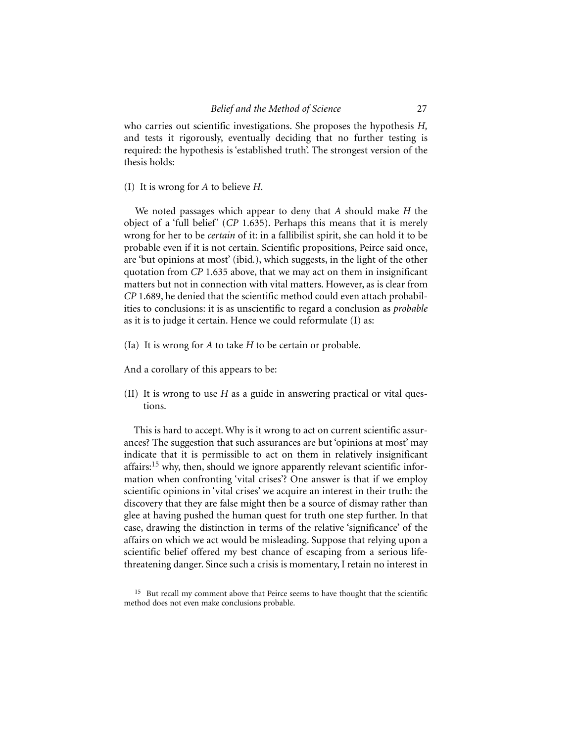who carries out scientific investigations. She proposes the hypothesis *H,* and tests it rigorously, eventually deciding that no further testing is required: the hypothesis is 'established truth'. The strongest version of the thesis holds:

(I) It is wrong for *A* to believe *H*.

We noted passages which appear to deny that *A* should make *H* the object of a 'full belief' (*CP* 1.635). Perhaps this means that it is merely wrong for her to be *certain* of it: in a fallibilist spirit, she can hold it to be probable even if it is not certain. Scientific propositions, Peirce said once, are 'but opinions at most' (ibid*.*), which suggests, in the light of the other quotation from *CP* 1.635 above, that we may act on them in insignificant matters but not in connection with vital matters. However, as is clear from *CP* 1.689, he denied that the scientific method could even attach probabilities to conclusions: it is as unscientific to regard a conclusion as *probable* as it is to judge it certain. Hence we could reformulate (I) as:

(Ia) It is wrong for *A* to take *H* to be certain or probable.

And a corollary of this appears to be:

(II) It is wrong to use *H* as a guide in answering practical or vital questions.

This is hard to accept. Why is it wrong to act on current scientific assurances? The suggestion that such assurances are but 'opinions at most' may indicate that it is permissible to act on them in relatively insignificant affairs:<sup>15</sup> why, then, should we ignore apparently relevant scientific information when confronting 'vital crises'? One answer is that if we employ scientific opinions in 'vital crises' we acquire an interest in their truth: the discovery that they are false might then be a source of dismay rather than glee at having pushed the human quest for truth one step further. In that case, drawing the distinction in terms of the relative 'significance' of the affairs on which we act would be misleading. Suppose that relying upon a scientific belief offered my best chance of escaping from a serious lifethreatening danger. Since such a crisis is momentary, I retain no interest in

<sup>&</sup>lt;sup>15</sup> But recall my comment above that Peirce seems to have thought that the scientific method does not even make conclusions probable.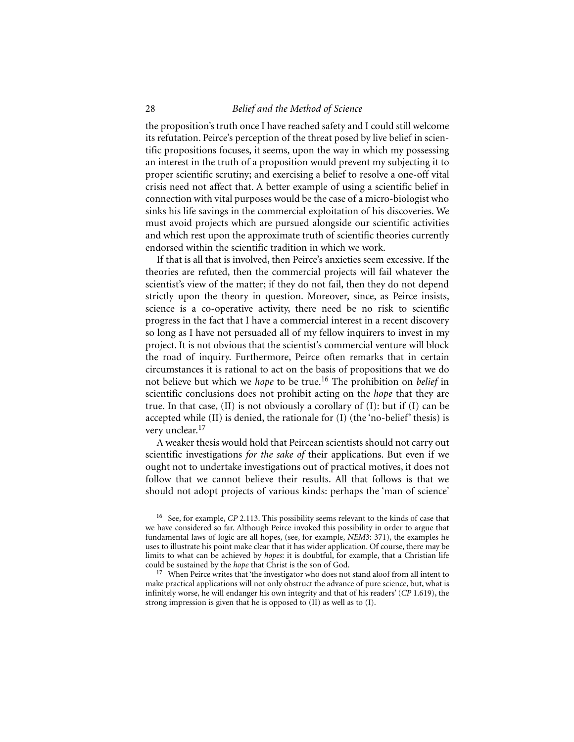the proposition's truth once I have reached safety and I could still welcome its refutation. Peirce's perception of the threat posed by live belief in scientific propositions focuses, it seems, upon the way in which my possessing an interest in the truth of a proposition would prevent my subjecting it to proper scientific scrutiny; and exercising a belief to resolve a one-off vital crisis need not affect that. A better example of using a scientific belief in connection with vital purposes would be the case of a micro-biologist who sinks his life savings in the commercial exploitation of his discoveries. We must avoid projects which are pursued alongside our scientific activities and which rest upon the approximate truth of scientific theories currently endorsed within the scientific tradition in which we work.

If that is all that is involved, then Peirce's anxieties seem excessive. If the theories are refuted, then the commercial projects will fail whatever the scientist's view of the matter; if they do not fail, then they do not depend strictly upon the theory in question. Moreover, since, as Peirce insists, science is a co-operative activity, there need be no risk to scientific progress in the fact that I have a commercial interest in a recent discovery so long as I have not persuaded all of my fellow inquirers to invest in my project. It is not obvious that the scientist's commercial venture will block the road of inquiry. Furthermore, Peirce often remarks that in certain circumstances it is rational to act on the basis of propositions that we do not believe but which we *hope* to be true.16 The prohibition on *belief* in scientific conclusions does not prohibit acting on the *hope* that they are true. In that case, (II) is not obviously a corollary of (I): but if (I) can be accepted while (II) is denied, the rationale for (I) (the 'no-belief' thesis) is very unclear.<sup>17</sup>

A weaker thesis would hold that Peircean scientists should not carry out scientific investigations *for the sake of* their applications. But even if we ought not to undertake investigations out of practical motives, it does not follow that we cannot believe their results. All that follows is that we should not adopt projects of various kinds: perhaps the 'man of science'

<sup>16</sup> See, for example, *CP* 2.113. This possibility seems relevant to the kinds of case that we have considered so far. Although Peirce invoked this possibility in order to argue that fundamental laws of logic are all hopes, (see, for example, *NEM*3: 371), the examples he uses to illustrate his point make clear that it has wider application. Of course, there may be limits to what can be achieved by *hopes*: it is doubtful, for example, that a Christian life

<sup>17</sup> When Peirce writes that 'the investigator who does not stand aloof from all intent to make practical applications will not only obstruct the advance of pure science, but, what is infinitely worse, he will endanger his own integrity and that of his readers' (*CP* 1.619), the strong impression is given that he is opposed to  $(II)$  as well as to  $(I)$ .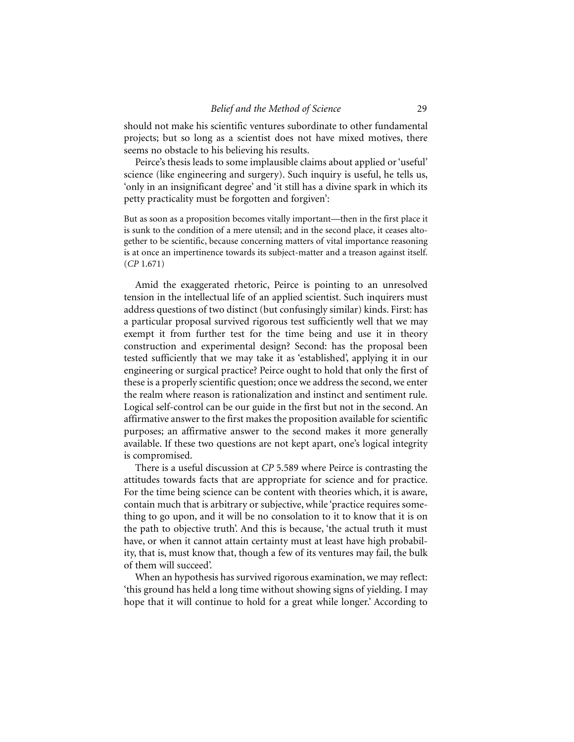should not make his scientific ventures subordinate to other fundamental projects; but so long as a scientist does not have mixed motives, there seems no obstacle to his believing his results.

Peirce's thesis leads to some implausible claims about applied or 'useful' science (like engineering and surgery). Such inquiry is useful, he tells us, 'only in an insignificant degree' and 'it still has a divine spark in which its petty practicality must be forgotten and forgiven':

But as soon as a proposition becomes vitally important—then in the first place it is sunk to the condition of a mere utensil; and in the second place, it ceases altogether to be scientific, because concerning matters of vital importance reasoning is at once an impertinence towards its subject-matter and a treason against itself. (*CP* 1.671)

Amid the exaggerated rhetoric, Peirce is pointing to an unresolved tension in the intellectual life of an applied scientist. Such inquirers must address questions of two distinct (but confusingly similar) kinds. First: has a particular proposal survived rigorous test sufficiently well that we may exempt it from further test for the time being and use it in theory construction and experimental design? Second: has the proposal been tested sufficiently that we may take it as 'established', applying it in our engineering or surgical practice? Peirce ought to hold that only the first of these is a properly scientific question; once we address the second, we enter the realm where reason is rationalization and instinct and sentiment rule. Logical self-control can be our guide in the first but not in the second. An affirmative answer to the first makes the proposition available for scientific purposes; an affirmative answer to the second makes it more generally available. If these two questions are not kept apart, one's logical integrity is compromised.

There is a useful discussion at *CP* 5.589 where Peirce is contrasting the attitudes towards facts that are appropriate for science and for practice. For the time being science can be content with theories which, it is aware, contain much that is arbitrary or subjective, while 'practice requires something to go upon, and it will be no consolation to it to know that it is on the path to objective truth'. And this is because, 'the actual truth it must have, or when it cannot attain certainty must at least have high probability, that is, must know that, though a few of its ventures may fail, the bulk of them will succeed'.

When an hypothesis has survived rigorous examination, we may reflect: 'this ground has held a long time without showing signs of yielding. I may hope that it will continue to hold for a great while longer.' According to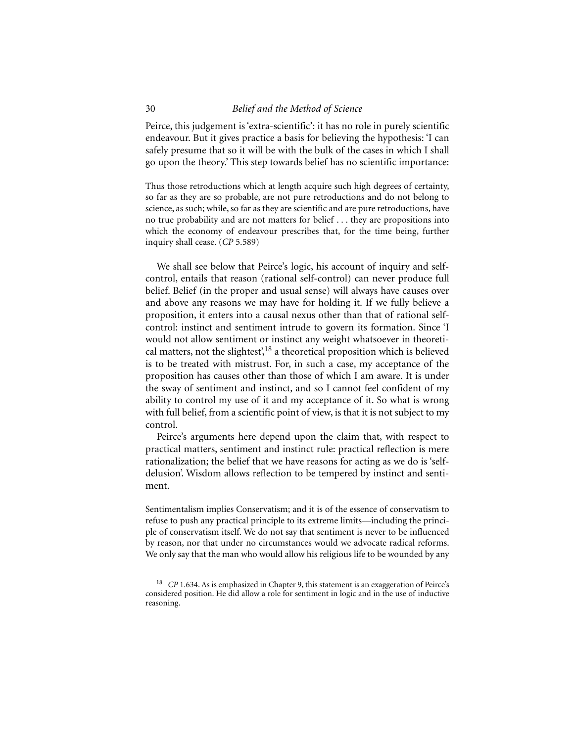### 30 *Belief and the Method of Science*

Peirce, this judgement is 'extra-scientific': it has no role in purely scientific endeavour. But it gives practice a basis for believing the hypothesis: 'I can safely presume that so it will be with the bulk of the cases in which I shall go upon the theory.' This step towards belief has no scientific importance:

Thus those retroductions which at length acquire such high degrees of certainty, so far as they are so probable, are not pure retroductions and do not belong to science, as such; while, so far as they are scientific and are pure retroductions, have no true probability and are not matters for belief . . . they are propositions into which the economy of endeavour prescribes that, for the time being, further inquiry shall cease. (*CP* 5.589)

We shall see below that Peirce's logic, his account of inquiry and selfcontrol, entails that reason (rational self-control) can never produce full belief. Belief (in the proper and usual sense) will always have causes over and above any reasons we may have for holding it. If we fully believe a proposition, it enters into a causal nexus other than that of rational selfcontrol: instinct and sentiment intrude to govern its formation. Since 'I would not allow sentiment or instinct any weight whatsoever in theoretical matters, not the slightest', $^{18}$  a theoretical proposition which is believed is to be treated with mistrust. For, in such a case, my acceptance of the proposition has causes other than those of which I am aware. It is under the sway of sentiment and instinct, and so I cannot feel confident of my ability to control my use of it and my acceptance of it. So what is wrong with full belief, from a scientific point of view, is that it is not subject to my control.

Peirce's arguments here depend upon the claim that, with respect to practical matters, sentiment and instinct rule: practical reflection is mere rationalization; the belief that we have reasons for acting as we do is 'selfdelusion'. Wisdom allows reflection to be tempered by instinct and sentiment.

Sentimentalism implies Conservatism; and it is of the essence of conservatism to refuse to push any practical principle to its extreme limits—including the principle of conservatism itself. We do not say that sentiment is never to be influenced by reason, nor that under no circumstances would we advocate radical reforms. We only say that the man who would allow his religious life to be wounded by any

<sup>18</sup> *CP* 1.634. As is emphasized in Chapter 9, this statement is an exaggeration of Peirce's considered position. He did allow a role for sentiment in logic and in the use of inductive reasoning.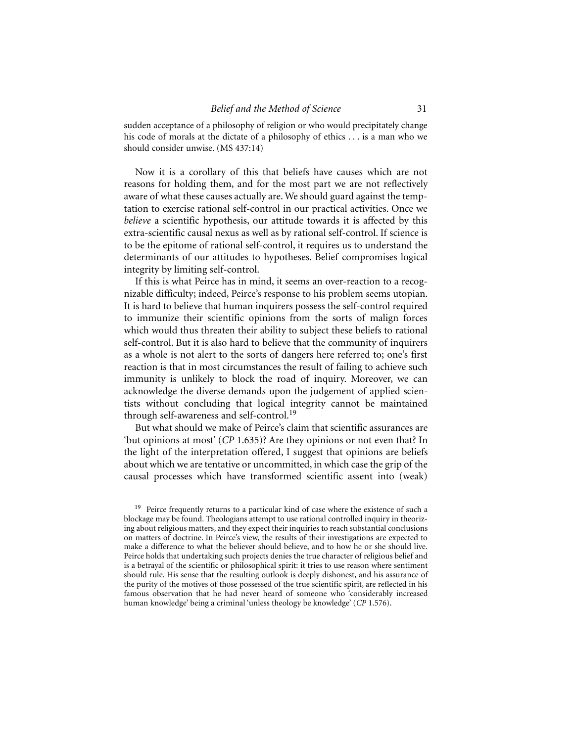sudden acceptance of a philosophy of religion or who would precipitately change his code of morals at the dictate of a philosophy of ethics . . . is a man who we should consider unwise. (MS 437:14)

Now it is a corollary of this that beliefs have causes which are not reasons for holding them, and for the most part we are not reflectively aware of what these causes actually are. We should guard against the temptation to exercise rational self-control in our practical activities. Once we *believe* a scientific hypothesis, our attitude towards it is affected by this extra-scientific causal nexus as well as by rational self-control. If science is to be the epitome of rational self-control, it requires us to understand the determinants of our attitudes to hypotheses. Belief compromises logical integrity by limiting self-control.

If this is what Peirce has in mind, it seems an over-reaction to a recognizable difficulty; indeed, Peirce's response to his problem seems utopian. It is hard to believe that human inquirers possess the self-control required to immunize their scientific opinions from the sorts of malign forces which would thus threaten their ability to subject these beliefs to rational self-control. But it is also hard to believe that the community of inquirers as a whole is not alert to the sorts of dangers here referred to; one's first reaction is that in most circumstances the result of failing to achieve such immunity is unlikely to block the road of inquiry. Moreover, we can acknowledge the diverse demands upon the judgement of applied scientists without concluding that logical integrity cannot be maintained through self-awareness and self-control.<sup>19</sup>

But what should we make of Peirce's claim that scientific assurances are 'but opinions at most' (*CP* 1.635)? Are they opinions or not even that? In the light of the interpretation offered, I suggest that opinions are beliefs about which we are tentative or uncommitted, in which case the grip of the causal processes which have transformed scientific assent into (weak)

<sup>19</sup> Peirce frequently returns to a particular kind of case where the existence of such a blockage may be found. Theologians attempt to use rational controlled inquiry in theorizing about religious matters, and they expect their inquiries to reach substantial conclusions on matters of doctrine. In Peirce's view, the results of their investigations are expected to make a difference to what the believer should believe, and to how he or she should live. Peirce holds that undertaking such projects denies the true character of religious belief and is a betrayal of the scientific or philosophical spirit: it tries to use reason where sentiment should rule. His sense that the resulting outlook is deeply dishonest, and his assurance of the purity of the motives of those possessed of the true scientific spirit, are reflected in his famous observation that he had never heard of someone who 'considerably increased human knowledge' being a criminal 'unless theology be knowledge' (*CP* 1.576).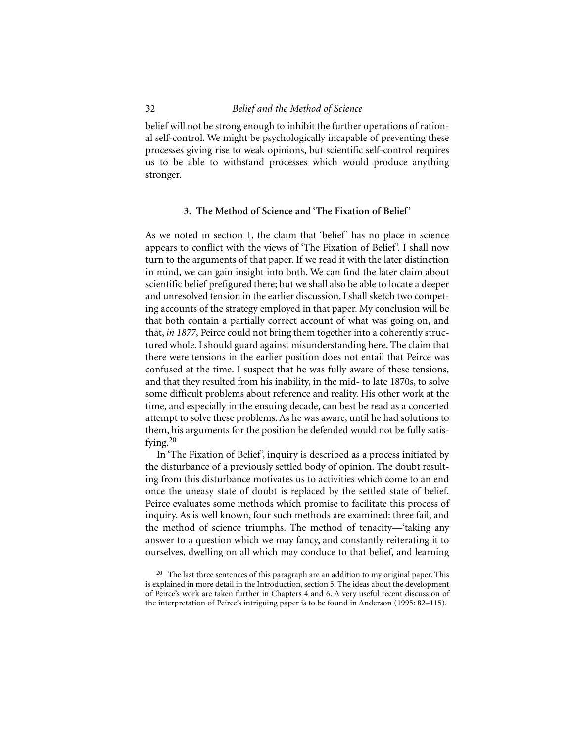belief will not be strong enough to inhibit the further operations of rational self-control. We might be psychologically incapable of preventing these processes giving rise to weak opinions, but scientific self-control requires us to be able to withstand processes which would produce anything stronger.

## **3. The Method of Science and 'The Fixation of Belief'**

As we noted in section 1, the claim that 'belief' has no place in science appears to conflict with the views of 'The Fixation of Belief'. I shall now turn to the arguments of that paper. If we read it with the later distinction in mind, we can gain insight into both. We can find the later claim about scientific belief prefigured there; but we shall also be able to locate a deeper and unresolved tension in the earlier discussion. I shall sketch two competing accounts of the strategy employed in that paper. My conclusion will be that both contain a partially correct account of what was going on, and that, *in 1877*, Peirce could not bring them together into a coherently structured whole. I should guard against misunderstanding here. The claim that there were tensions in the earlier position does not entail that Peirce was confused at the time. I suspect that he was fully aware of these tensions, and that they resulted from his inability, in the mid- to late 1870s, to solve some difficult problems about reference and reality. His other work at the time, and especially in the ensuing decade, can best be read as a concerted attempt to solve these problems. As he was aware, until he had solutions to them, his arguments for the position he defended would not be fully satisfying.20

In 'The Fixation of Belief', inquiry is described as a process initiated by the disturbance of a previously settled body of opinion. The doubt resulting from this disturbance motivates us to activities which come to an end once the uneasy state of doubt is replaced by the settled state of belief. Peirce evaluates some methods which promise to facilitate this process of inquiry. As is well known, four such methods are examined: three fail, and the method of science triumphs. The method of tenacity—'taking any answer to a question which we may fancy, and constantly reiterating it to ourselves, dwelling on all which may conduce to that belief, and learning

 $20$  The last three sentences of this paragraph are an addition to my original paper. This is explained in more detail in the Introduction, section 5. The ideas about the development of Peirce's work are taken further in Chapters 4 and 6. A very useful recent discussion of the interpretation of Peirce's intriguing paper is to be found in Anderson (1995: 82–115).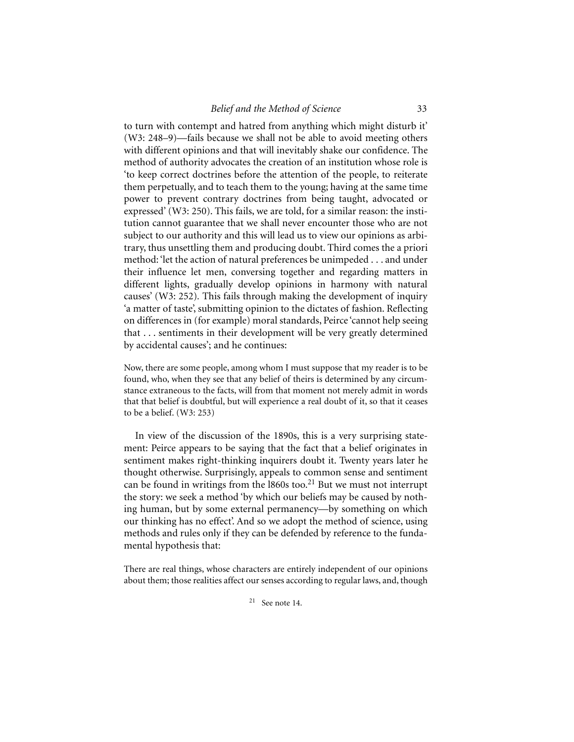to turn with contempt and hatred from anything which might disturb it' (W3: 248–9)—fails because we shall not be able to avoid meeting others with different opinions and that will inevitably shake our confidence. The method of authority advocates the creation of an institution whose role is 'to keep correct doctrines before the attention of the people, to reiterate them perpetually, and to teach them to the young; having at the same time power to prevent contrary doctrines from being taught, advocated or expressed' (W3: 250). This fails, we are told, for a similar reason: the institution cannot guarantee that we shall never encounter those who are not subject to our authority and this will lead us to view our opinions as arbitrary, thus unsettling them and producing doubt. Third comes the a priori method: 'let the action of natural preferences be unimpeded . . . and under their influence let men, conversing together and regarding matters in different lights, gradually develop opinions in harmony with natural causes' (W3: 252)*.* This fails through making the development of inquiry 'a matter of taste', submitting opinion to the dictates of fashion. Reflecting on differences in (for example) moral standards, Peirce 'cannot help seeing that . . . sentiments in their development will be very greatly determined by accidental causes'; and he continues:

Now, there are some people, among whom I must suppose that my reader is to be found, who, when they see that any belief of theirs is determined by any circumstance extraneous to the facts, will from that moment not merely admit in words that that belief is doubtful, but will experience a real doubt of it, so that it ceases to be a belief. (W3: 253)

In view of the discussion of the 1890s, this is a very surprising statement: Peirce appears to be saying that the fact that a belief originates in sentiment makes right-thinking inquirers doubt it. Twenty years later he thought otherwise. Surprisingly, appeals to common sense and sentiment can be found in writings from the  $1860s$  too.<sup>21</sup> But we must not interrupt the story: we seek a method 'by which our beliefs may be caused by nothing human, but by some external permanency—by something on which our thinking has no effect'. And so we adopt the method of science, using methods and rules only if they can be defended by reference to the fundamental hypothesis that:

There are real things, whose characters are entirely independent of our opinions about them; those realities affect our senses according to regular laws, and, though

<sup>21</sup> See note 14.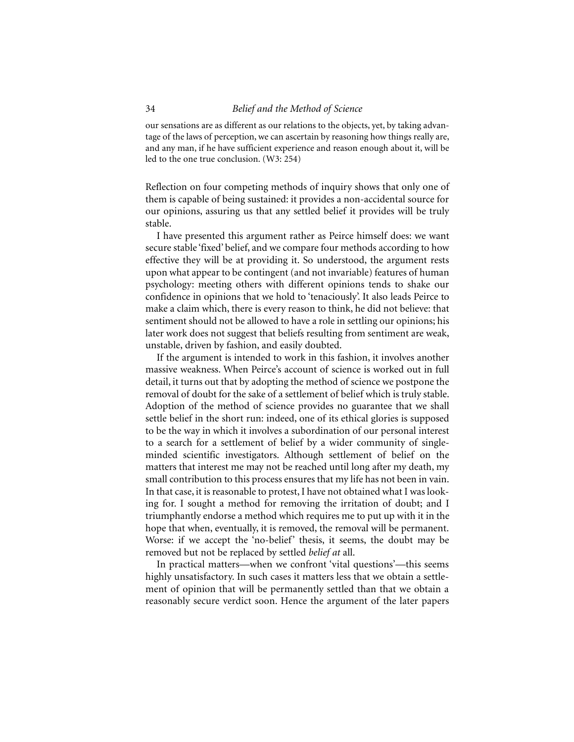our sensations are as different as our relations to the objects, yet, by taking advantage of the laws of perception, we can ascertain by reasoning how things really are, and any man, if he have sufficient experience and reason enough about it, will be led to the one true conclusion. (W3: 254)

Reflection on four competing methods of inquiry shows that only one of them is capable of being sustained: it provides a non-accidental source for our opinions, assuring us that any settled belief it provides will be truly stable.

I have presented this argument rather as Peirce himself does: we want secure stable 'fixed' belief, and we compare four methods according to how effective they will be at providing it. So understood, the argument rests upon what appear to be contingent (and not invariable) features of human psychology: meeting others with different opinions tends to shake our confidence in opinions that we hold to 'tenaciously'. It also leads Peirce to make a claim which, there is every reason to think, he did not believe: that sentiment should not be allowed to have a role in settling our opinions; his later work does not suggest that beliefs resulting from sentiment are weak, unstable, driven by fashion, and easily doubted.

If the argument is intended to work in this fashion, it involves another massive weakness. When Peirce's account of science is worked out in full detail, it turns out that by adopting the method of science we postpone the removal of doubt for the sake of a settlement of belief which is truly stable. Adoption of the method of science provides no guarantee that we shall settle belief in the short run: indeed, one of its ethical glories is supposed to be the way in which it involves a subordination of our personal interest to a search for a settlement of belief by a wider community of singleminded scientific investigators. Although settlement of belief on the matters that interest me may not be reached until long after my death, my small contribution to this process ensures that my life has not been in vain. In that case, it is reasonable to protest, I have not obtained what I was looking for. I sought a method for removing the irritation of doubt; and I triumphantly endorse a method which requires me to put up with it in the hope that when, eventually, it is removed, the removal will be permanent. Worse: if we accept the 'no-belief' thesis, it seems, the doubt may be removed but not be replaced by settled *belief at* all.

In practical matters—when we confront 'vital questions'—this seems highly unsatisfactory. In such cases it matters less that we obtain a settlement of opinion that will be permanently settled than that we obtain a reasonably secure verdict soon. Hence the argument of the later papers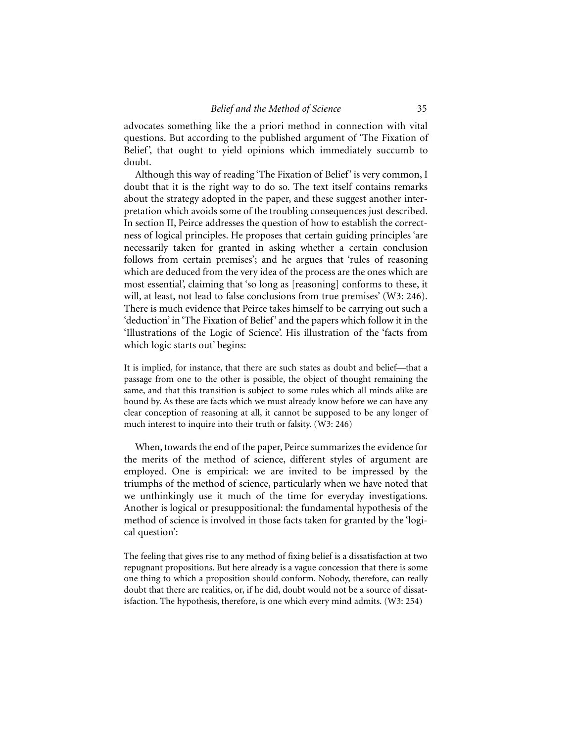advocates something like the a priori method in connection with vital questions. But according to the published argument of 'The Fixation of Belief', that ought to yield opinions which immediately succumb to doubt.

Although this way of reading 'The Fixation of Belief' is very common, I doubt that it is the right way to do so. The text itself contains remarks about the strategy adopted in the paper, and these suggest another interpretation which avoids some of the troubling consequences just described. In section II, Peirce addresses the question of how to establish the correctness of logical principles. He proposes that certain guiding principles 'are necessarily taken for granted in asking whether a certain conclusion follows from certain premises'; and he argues that 'rules of reasoning which are deduced from the very idea of the process are the ones which are most essential', claiming that 'so long as [reasoning] conforms to these, it will, at least, not lead to false conclusions from true premises' (W3: 246). There is much evidence that Peirce takes himself to be carrying out such a 'deduction' in 'The Fixation of Belief' and the papers which follow it in the 'Illustrations of the Logic of Science'. His illustration of the 'facts from which logic starts out' begins:

It is implied, for instance, that there are such states as doubt and belief—that a passage from one to the other is possible, the object of thought remaining the same, and that this transition is subject to some rules which all minds alike are bound by. As these are facts which we must already know before we can have any clear conception of reasoning at all, it cannot be supposed to be any longer of much interest to inquire into their truth or falsity. (W3: 246)

When, towards the end of the paper, Peirce summarizes the evidence for the merits of the method of science, different styles of argument are employed. One is empirical: we are invited to be impressed by the triumphs of the method of science, particularly when we have noted that we unthinkingly use it much of the time for everyday investigations. Another is logical or presuppositional: the fundamental hypothesis of the method of science is involved in those facts taken for granted by the 'logical question':

The feeling that gives rise to any method of fixing belief is a dissatisfaction at two repugnant propositions. But here already is a vague concession that there is some one thing to which a proposition should conform. Nobody, therefore, can really doubt that there are realities, or, if he did, doubt would not be a source of dissatisfaction. The hypothesis, therefore, is one which every mind admits. (W3: 254)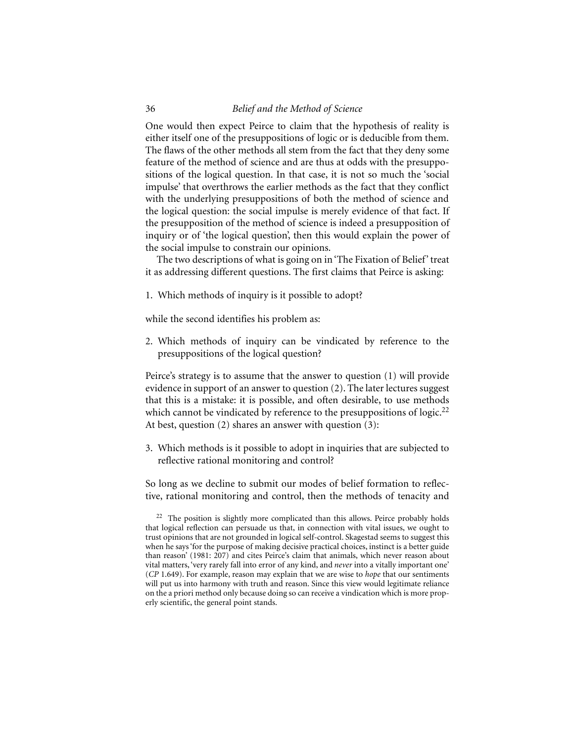One would then expect Peirce to claim that the hypothesis of reality is either itself one of the presuppositions of logic or is deducible from them. The flaws of the other methods all stem from the fact that they deny some feature of the method of science and are thus at odds with the presuppositions of the logical question. In that case, it is not so much the 'social impulse' that overthrows the earlier methods as the fact that they conflict with the underlying presuppositions of both the method of science and the logical question: the social impulse is merely evidence of that fact. If the presupposition of the method of science is indeed a presupposition of inquiry or of 'the logical question', then this would explain the power of the social impulse to constrain our opinions.

The two descriptions of what is going on in 'The Fixation of Belief' treat it as addressing different questions. The first claims that Peirce is asking:

1. Which methods of inquiry is it possible to adopt?

while the second identifies his problem as:

2. Which methods of inquiry can be vindicated by reference to the presuppositions of the logical question?

Peirce's strategy is to assume that the answer to question (1) will provide evidence in support of an answer to question (2). The later lectures suggest that this is a mistake: it is possible, and often desirable, to use methods which cannot be vindicated by reference to the presuppositions of logic.<sup>22</sup> At best, question (2) shares an answer with question (3):

3. Which methods is it possible to adopt in inquiries that are subjected to reflective rational monitoring and control?

So long as we decline to submit our modes of belief formation to reflective, rational monitoring and control, then the methods of tenacity and

 $22$  The position is slightly more complicated than this allows. Peirce probably holds that logical reflection can persuade us that, in connection with vital issues, we ought to trust opinions that are not grounded in logical self-control. Skagestad seems to suggest this when he says 'for the purpose of making decisive practical choices, instinct is a better guide than reason' (1981: 207) and cites Peirce's claim that animals, which never reason about vital matters, 'very rarely fall into error of any kind, and *never* into a vitally important one' (*CP* 1.649). For example, reason may explain that we are wise to *hope* that our sentiments will put us into harmony with truth and reason. Since this view would legitimate reliance on the a priori method only because doing so can receive a vindication which is more properly scientific, the general point stands.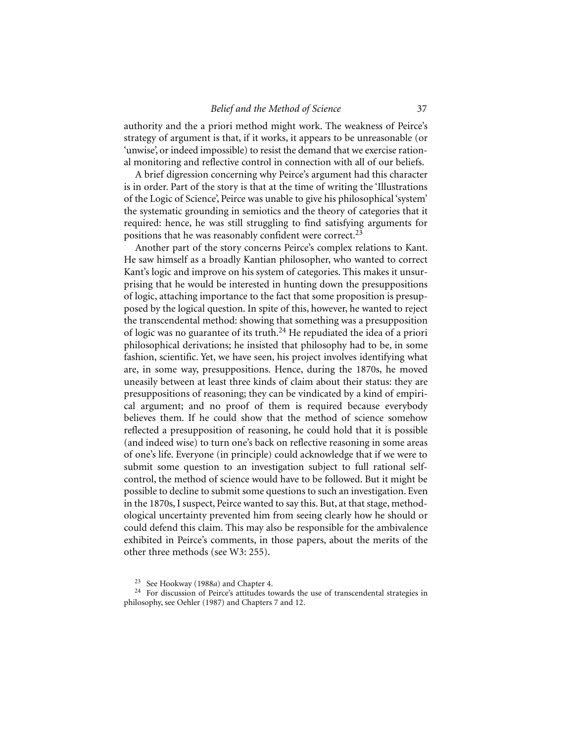authority and the a priori method might work. The weakness of Peirce's strategy of argument is that, if it works, it appears to be unreasonable (or 'unwise', or indeed impossible) to resist the demand that we exercise rational monitoring and reflective control in connection with all of our beliefs.

A brief digression concerning why Peirce's argument had this character is in order. Part of the story is that at the time of writing the 'Illustrations of the Logic of Science', Peirce was unable to give his philosophical 'system' the systematic grounding in semiotics and the theory of categories that it required: hence, he was still struggling to find satisfying arguments for positions that he was reasonably confident were correct.<sup>23</sup>

Another part of the story concerns Peirce's complex relations to Kant. He saw himself as a broadly Kantian philosopher, who wanted to correct Kant's logic and improve on his system of categories. This makes it unsurprising that he would be interested in hunting down the presuppositions of logic, attaching importance to the fact that some proposition is presupposed by the logical question. In spite of this, however, he wanted to reject the transcendental method: showing that something was a presupposition of logic was no guarantee of its truth.24 He repudiated the idea of a priori philosophical derivations; he insisted that philosophy had to be, in some fashion, scientific. Yet, we have seen, his project involves identifying what are, in some way, presuppositions. Hence, during the 1870s, he moved uneasily between at least three kinds of claim about their status: they are presuppositions of reasoning; they can be vindicated by a kind of empirical argument; and no proof of them is required because everybody believes them. If he could show that the method of science somehow reflected a presupposition of reasoning, he could hold that it is possible (and indeed wise) to turn one's back on reflective reasoning in some areas of one's life. Everyone (in principle) could acknowledge that if we were to submit some question to an investigation subject to full rational selfcontrol, the method of science would have to be followed. But it might be possible to decline to submit some questions to such an investigation. Even in the 1870s, I suspect, Peirce wanted to say this. But, at that stage, methodological uncertainty prevented him from seeing clearly how he should or could defend this claim. This may also be responsible for the ambivalence exhibited in Peirce's comments, in those papers, about the merits of the other three methods (see W3: 255).

<sup>&</sup>lt;sup>23</sup> See Hookway (1988*a*) and Chapter 4.<br><sup>24</sup> For discussion of Peirce's attitudes towards the use of transcendental strategies in philosophy, see Oehler (1987) and Chapters 7 and 12.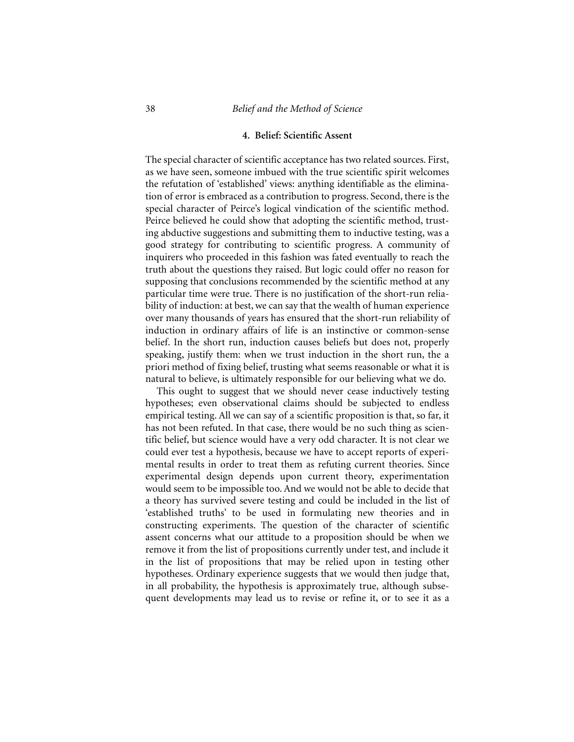#### **4. Belief: Scientific Assent**

The special character of scientific acceptance has two related sources. First, as we have seen, someone imbued with the true scientific spirit welcomes the refutation of 'established' views: anything identifiable as the elimination of error is embraced as a contribution to progress. Second, there is the special character of Peirce's logical vindication of the scientific method. Peirce believed he could show that adopting the scientific method, trusting abductive suggestions and submitting them to inductive testing, was a good strategy for contributing to scientific progress. A community of inquirers who proceeded in this fashion was fated eventually to reach the truth about the questions they raised. But logic could offer no reason for supposing that conclusions recommended by the scientific method at any particular time were true. There is no justification of the short-run reliability of induction: at best, we can say that the wealth of human experience over many thousands of years has ensured that the short-run reliability of induction in ordinary affairs of life is an instinctive or common-sense belief. In the short run, induction causes beliefs but does not, properly speaking, justify them: when we trust induction in the short run, the a priori method of fixing belief, trusting what seems reasonable or what it is natural to believe, is ultimately responsible for our believing what we do.

This ought to suggest that we should never cease inductively testing hypotheses; even observational claims should be subjected to endless empirical testing. All we can say of a scientific proposition is that, so far, it has not been refuted. In that case, there would be no such thing as scientific belief, but science would have a very odd character. It is not clear we could ever test a hypothesis, because we have to accept reports of experimental results in order to treat them as refuting current theories. Since experimental design depends upon current theory, experimentation would seem to be impossible too. And we would not be able to decide that a theory has survived severe testing and could be included in the list of 'established truths' to be used in formulating new theories and in constructing experiments. The question of the character of scientific assent concerns what our attitude to a proposition should be when we remove it from the list of propositions currently under test, and include it in the list of propositions that may be relied upon in testing other hypotheses. Ordinary experience suggests that we would then judge that, in all probability, the hypothesis is approximately true, although subsequent developments may lead us to revise or refine it, or to see it as a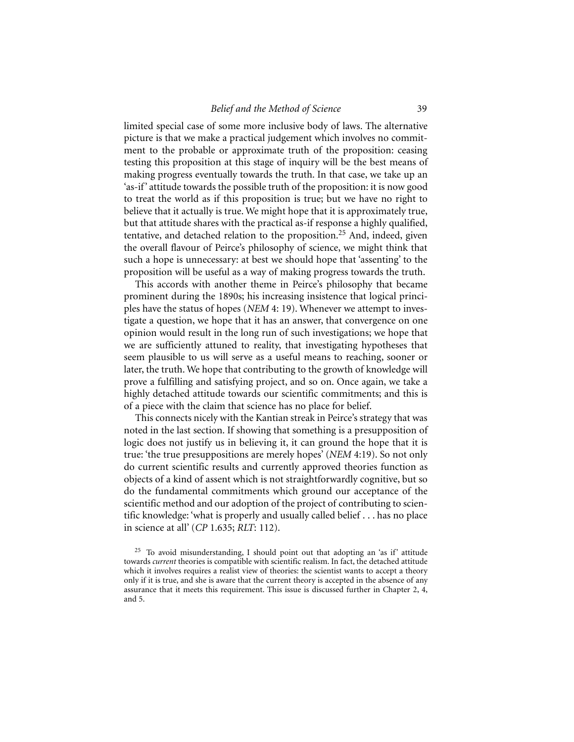limited special case of some more inclusive body of laws. The alternative picture is that we make a practical judgement which involves no commitment to the probable or approximate truth of the proposition: ceasing testing this proposition at this stage of inquiry will be the best means of making progress eventually towards the truth. In that case, we take up an 'as-if' attitude towards the possible truth of the proposition: it is now good to treat the world as if this proposition is true; but we have no right to believe that it actually is true. We might hope that it is approximately true, but that attitude shares with the practical as-if response a highly qualified, tentative, and detached relation to the proposition.<sup>25</sup> And, indeed, given the overall flavour of Peirce's philosophy of science, we might think that such a hope is unnecessary: at best we should hope that 'assenting' to the proposition will be useful as a way of making progress towards the truth.

This accords with another theme in Peirce's philosophy that became prominent during the 1890s; his increasing insistence that logical principles have the status of hopes (*NEM* 4: 19). Whenever we attempt to investigate a question, we hope that it has an answer, that convergence on one opinion would result in the long run of such investigations; we hope that we are sufficiently attuned to reality, that investigating hypotheses that seem plausible to us will serve as a useful means to reaching, sooner or later, the truth. We hope that contributing to the growth of knowledge will prove a fulfilling and satisfying project, and so on. Once again, we take a highly detached attitude towards our scientific commitments; and this is of a piece with the claim that science has no place for belief.

This connects nicely with the Kantian streak in Peirce's strategy that was noted in the last section. If showing that something is a presupposition of logic does not justify us in believing it, it can ground the hope that it is true: 'the true presuppositions are merely hopes' (*NEM* 4:19). So not only do current scientific results and currently approved theories function as objects of a kind of assent which is not straightforwardly cognitive, but so do the fundamental commitments which ground our acceptance of the scientific method and our adoption of the project of contributing to scientific knowledge: 'what is properly and usually called belief . . . has no place in science at all' (*CP* 1.635; *RLT*: 112).

 $25$  To avoid misunderstanding, I should point out that adopting an 'as if' attitude towards *current* theories is compatible with scientific realism. In fact, the detached attitude which it involves requires a realist view of theories: the scientist wants to accept a theory only if it is true, and she is aware that the current theory is accepted in the absence of any assurance that it meets this requirement. This issue is discussed further in Chapter 2, 4, and 5.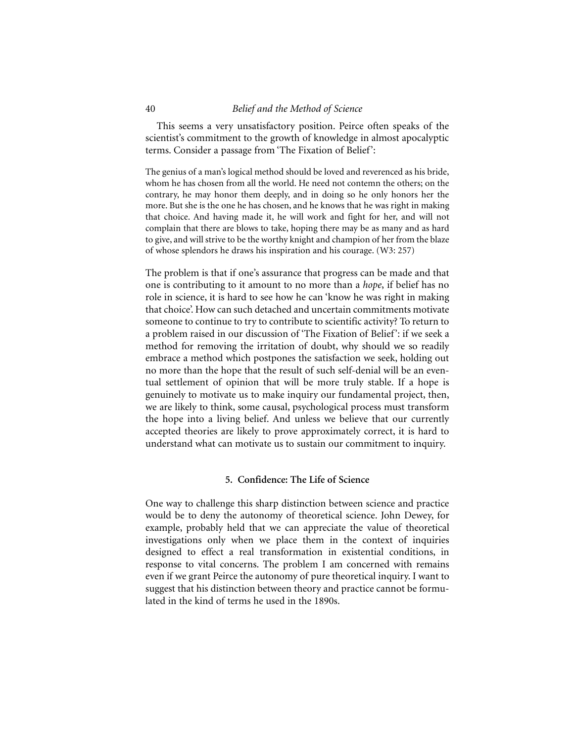This seems a very unsatisfactory position. Peirce often speaks of the scientist's commitment to the growth of knowledge in almost apocalyptic terms. Consider a passage from 'The Fixation of Belief':

The genius of a man's logical method should be loved and reverenced as his bride, whom he has chosen from all the world. He need not contemn the others; on the contrary, he may honor them deeply, and in doing so he only honors her the more. But she is the one he has chosen, and he knows that he was right in making that choice. And having made it, he will work and fight for her, and will not complain that there are blows to take, hoping there may be as many and as hard to give, and will strive to be the worthy knight and champion of her from the blaze of whose splendors he draws his inspiration and his courage. (W3: 257)

The problem is that if one's assurance that progress can be made and that one is contributing to it amount to no more than a *hope*, if belief has no role in science, it is hard to see how he can 'know he was right in making that choice'. How can such detached and uncertain commitments motivate someone to continue to try to contribute to scientific activity? To return to a problem raised in our discussion of 'The Fixation of Belief': if we seek a method for removing the irritation of doubt, why should we so readily embrace a method which postpones the satisfaction we seek, holding out no more than the hope that the result of such self-denial will be an eventual settlement of opinion that will be more truly stable. If a hope is genuinely to motivate us to make inquiry our fundamental project, then, we are likely to think, some causal, psychological process must transform the hope into a living belief. And unless we believe that our currently accepted theories are likely to prove approximately correct, it is hard to understand what can motivate us to sustain our commitment to inquiry.

## **5. Confidence: The Life of Science**

One way to challenge this sharp distinction between science and practice would be to deny the autonomy of theoretical science. John Dewey, for example, probably held that we can appreciate the value of theoretical investigations only when we place them in the context of inquiries designed to effect a real transformation in existential conditions, in response to vital concerns. The problem I am concerned with remains even if we grant Peirce the autonomy of pure theoretical inquiry. I want to suggest that his distinction between theory and practice cannot be formulated in the kind of terms he used in the 1890s.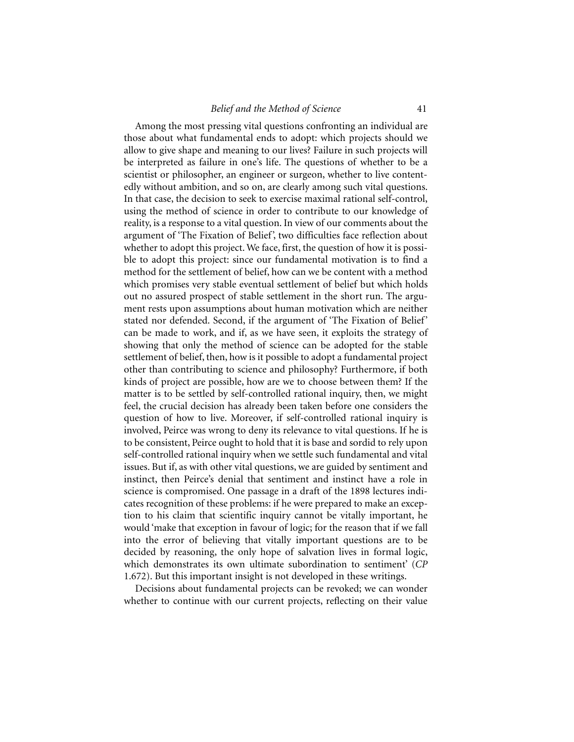Among the most pressing vital questions confronting an individual are those about what fundamental ends to adopt: which projects should we allow to give shape and meaning to our lives? Failure in such projects will be interpreted as failure in one's life. The questions of whether to be a scientist or philosopher, an engineer or surgeon, whether to live contentedly without ambition, and so on, are clearly among such vital questions. In that case, the decision to seek to exercise maximal rational self-control, using the method of science in order to contribute to our knowledge of reality, is a response to a vital question. In view of our comments about the argument of 'The Fixation of Belief', two difficulties face reflection about whether to adopt this project. We face, first, the question of how it is possible to adopt this project: since our fundamental motivation is to find a method for the settlement of belief, how can we be content with a method which promises very stable eventual settlement of belief but which holds out no assured prospect of stable settlement in the short run. The argument rests upon assumptions about human motivation which are neither stated nor defended. Second, if the argument of 'The Fixation of Belief' can be made to work, and if, as we have seen, it exploits the strategy of showing that only the method of science can be adopted for the stable settlement of belief, then, how is it possible to adopt a fundamental project other than contributing to science and philosophy? Furthermore, if both kinds of project are possible, how are we to choose between them? If the matter is to be settled by self-controlled rational inquiry, then, we might feel, the crucial decision has already been taken before one considers the question of how to live. Moreover, if self-controlled rational inquiry is involved, Peirce was wrong to deny its relevance to vital questions. If he is to be consistent, Peirce ought to hold that it is base and sordid to rely upon self-controlled rational inquiry when we settle such fundamental and vital issues. But if, as with other vital questions, we are guided by sentiment and instinct, then Peirce's denial that sentiment and instinct have a role in science is compromised. One passage in a draft of the 1898 lectures indicates recognition of these problems: if he were prepared to make an exception to his claim that scientific inquiry cannot be vitally important, he would 'make that exception in favour of logic; for the reason that if we fall into the error of believing that vitally important questions are to be decided by reasoning, the only hope of salvation lives in formal logic, which demonstrates its own ultimate subordination to sentiment' (*CP* 1.672). But this important insight is not developed in these writings.

Decisions about fundamental projects can be revoked; we can wonder whether to continue with our current projects, reflecting on their value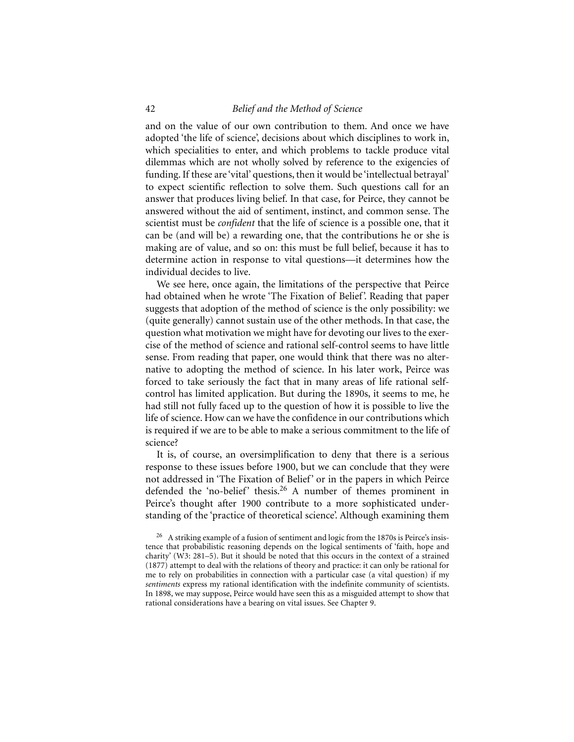and on the value of our own contribution to them. And once we have adopted 'the life of science', decisions about which disciplines to work in, which specialities to enter, and which problems to tackle produce vital dilemmas which are not wholly solved by reference to the exigencies of funding. If these are 'vital' questions, then it would be 'intellectual betrayal' to expect scientific reflection to solve them. Such questions call for an answer that produces living belief. In that case, for Peirce, they cannot be answered without the aid of sentiment, instinct, and common sense. The scientist must be *confident* that the life of science is a possible one, that it can be (and will be) a rewarding one, that the contributions he or she is making are of value, and so on: this must be full belief, because it has to determine action in response to vital questions—it determines how the individual decides to live.

We see here, once again, the limitations of the perspective that Peirce had obtained when he wrote 'The Fixation of Belief'. Reading that paper suggests that adoption of the method of science is the only possibility: we (quite generally) cannot sustain use of the other methods. In that case, the question what motivation we might have for devoting our lives to the exercise of the method of science and rational self-control seems to have little sense. From reading that paper, one would think that there was no alternative to adopting the method of science. In his later work, Peirce was forced to take seriously the fact that in many areas of life rational selfcontrol has limited application. But during the 1890s, it seems to me, he had still not fully faced up to the question of how it is possible to live the life of science. How can we have the confidence in our contributions which is required if we are to be able to make a serious commitment to the life of science?

It is, of course, an oversimplification to deny that there is a serious response to these issues before 1900, but we can conclude that they were not addressed in 'The Fixation of Belief' or in the papers in which Peirce defended the 'no-belief' thesis.26 A number of themes prominent in Peirce's thought after 1900 contribute to a more sophisticated understanding of the 'practice of theoretical science'. Although examining them

<sup>26</sup> A striking example of a fusion of sentiment and logic from the 1870s is Peirce's insistence that probabilistic reasoning depends on the logical sentiments of 'faith, hope and charity' ( $W3: 281-5$ ). But it should be noted that this occurs in the context of a strained (1877) attempt to deal with the relations of theory and practice: it can only be rational for me to rely on probabilities in connection with a particular case (a vital question) if my *sentiments* express my rational identification with the indefinite community of scientists. In 1898, we may suppose, Peirce would have seen this as a misguided attempt to show that rational considerations have a bearing on vital issues. See Chapter 9.